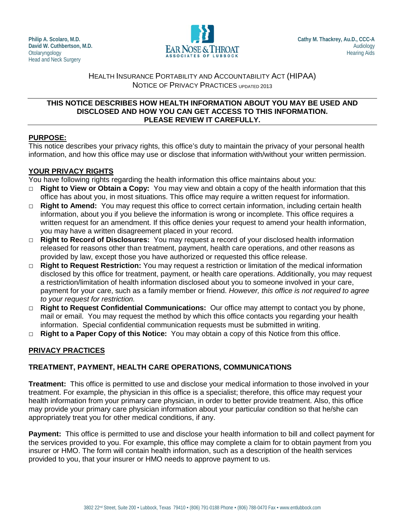

# HEALTH INSURANCE PORTABILITY AND ACCOUNTABILITY ACT (HIPAA) NOTICE OF PRIVACY PRACTICES UPDATED 2013

## **THIS NOTICE DESCRIBES HOW HEALTH INFORMATION ABOUT YOU MAY BE USED AND DISCLOSED AND HOW YOU CAN GET ACCESS TO THIS INFORMATION. PLEASE REVIEW IT CAREFULLY.**

# **PURPOSE:**

This notice describes your privacy rights, this office's duty to maintain the privacy of your personal health information, and how this office may use or disclose that information with/without your written permission.

# **YOUR PRIVACY RIGHTS**

You have following rights regarding the health information this office maintains about you:

- □ **Right to View or Obtain a Copy:** You may view and obtain a copy of the health information that this office has about you, in most situations. This office may require a written request for information.
- □ **Right to Amend:** You may request this office to correct certain information, including certain health information, about you if you believe the information is wrong or incomplete. This office requires a written request for an amendment. If this office denies your request to amend your health information, you may have a written disagreement placed in your record.
- □ **Right to Record of Disclosures:** You may request a record of your disclosed health information released for reasons other than treatment, payment, health care operations, and other reasons as provided by law, except those you have authorized or requested this office release.
- □ **Right to Request Restriction:** You may request a restriction or limitation of the medical information disclosed by this office for treatment, payment, or health care operations. Additionally, you may request a restriction/limitation of health information disclosed about you to someone involved in your care, payment for your care, such as a family member or friend. *However, this office is not required to agree to your request for restriction.*
- □ **Right to Request Confidential Communications:** Our office may attempt to contact you by phone, mail or email. You may request the method by which this office contacts you regarding your health information. Special confidential communication requests must be submitted in writing.
- □ **Right to a Paper Copy of this Notice:** You may obtain a copy of this Notice from this office.

# **PRIVACY PRACTICES**

# **TREATMENT, PAYMENT, HEALTH CARE OPERATIONS, COMMUNICATIONS**

**Treatment:** This office is permitted to use and disclose your medical information to those involved in your treatment. For example, the physician in this office is a specialist; therefore, this office may request your health information from your primary care physician, in order to better provide treatment. Also, this office may provide your primary care physician information about your particular condition so that he/she can appropriately treat you for other medical conditions, if any.

**Payment:** This office is permitted to use and disclose your health information to bill and collect payment for the services provided to you. For example, this office may complete a claim for to obtain payment from you insurer or HMO. The form will contain health information, such as a description of the health services provided to you, that your insurer or HMO needs to approve payment to us.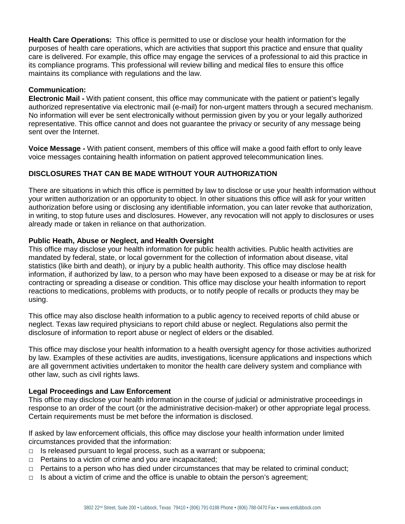**Health Care Operations:** This office is permitted to use or disclose your health information for the purposes of health care operations, which are activities that support this practice and ensure that quality care is delivered. For example, this office may engage the services of a professional to aid this practice in its compliance programs. This professional will review billing and medical files to ensure this office maintains its compliance with regulations and the law.

## **Communication:**

**Electronic Mail -** With patient consent, this office may communicate with the patient or patient's legally authorized representative via electronic mail (e-mail) for non-urgent matters through a secured mechanism. No information will ever be sent electronically without permission given by you or your legally authorized representative. This office cannot and does not guarantee the privacy or security of any message being sent over the Internet.

**Voice Message -** With patient consent, members of this office will make a good faith effort to only leave voice messages containing health information on patient approved telecommunication lines.

## **DISCLOSURES THAT CAN BE MADE WITHOUT YOUR AUTHORIZATION**

There are situations in which this office is permitted by law to disclose or use your health information without your written authorization or an opportunity to object. In other situations this office will ask for your written authorization before using or disclosing any identifiable information, you can later revoke that authorization, in writing, to stop future uses and disclosures. However, any revocation will not apply to disclosures or uses already made or taken in reliance on that authorization.

### **Public Heath, Abuse or Neglect, and Health Oversight**

This office may disclose your health information for public health activities. Public health activities are mandated by federal, state, or local government for the collection of information about disease, vital statistics (like birth and death), or injury by a public health authority. This office may disclose health information, if authorized by law, to a person who may have been exposed to a disease or may be at risk for contracting or spreading a disease or condition. This office may disclose your health information to report reactions to medications, problems with products, or to notify people of recalls or products they may be using.

This office may also disclose health information to a public agency to received reports of child abuse or neglect. Texas law required physicians to report child abuse or neglect. Regulations also permit the disclosure of information to report abuse or neglect of elders or the disabled.

This office may disclose your health information to a health oversight agency for those activities authorized by law. Examples of these activities are audits, investigations, licensure applications and inspections which are all government activities undertaken to monitor the health care delivery system and compliance with other law, such as civil rights laws.

### **Legal Proceedings and Law Enforcement**

This office may disclose your health information in the course of judicial or administrative proceedings in response to an order of the court (or the administrative decision-maker) or other appropriate legal process. Certain requirements must be met before the information is disclosed.

If asked by law enforcement officials, this office may disclose your health information under limited circumstances provided that the information:

- $\Box$  Is released pursuant to legal process, such as a warrant or subpoena;
- $\Box$  Pertains to a victim of crime and you are incapacitated;
- $\Box$  Pertains to a person who has died under circumstances that may be related to criminal conduct;
- $\Box$  Is about a victim of crime and the office is unable to obtain the person's agreement;